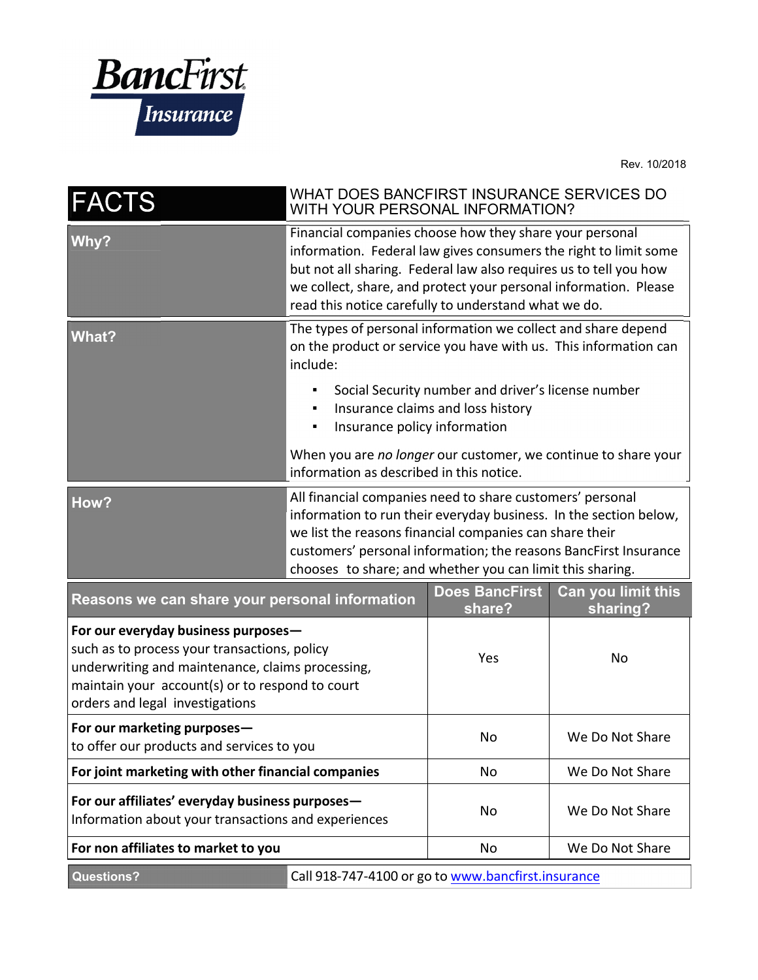

Rev. 10/2018

| <b>FACTS</b>                                                                                                                                                                                                                  | WHAT DOES BANCFIRST INSURANCE SERVICES DO<br>WITH YOUR PERSONAL INFORMATION?                                                                                                                                                                                                                                                 |                                                                                         |                                |
|-------------------------------------------------------------------------------------------------------------------------------------------------------------------------------------------------------------------------------|------------------------------------------------------------------------------------------------------------------------------------------------------------------------------------------------------------------------------------------------------------------------------------------------------------------------------|-----------------------------------------------------------------------------------------|--------------------------------|
| Why?                                                                                                                                                                                                                          | Financial companies choose how they share your personal<br>information. Federal law gives consumers the right to limit some<br>but not all sharing. Federal law also requires us to tell you how<br>we collect, share, and protect your personal information. Please<br>read this notice carefully to understand what we do. |                                                                                         |                                |
| <b>What?</b>                                                                                                                                                                                                                  | The types of personal information we collect and share depend<br>on the product or service you have with us. This information can<br>include:                                                                                                                                                                                |                                                                                         |                                |
|                                                                                                                                                                                                                               | Insurance policy information                                                                                                                                                                                                                                                                                                 | Social Security number and driver's license number<br>Insurance claims and loss history |                                |
|                                                                                                                                                                                                                               | When you are no longer our customer, we continue to share your<br>information as described in this notice.                                                                                                                                                                                                                   |                                                                                         |                                |
| How?                                                                                                                                                                                                                          | All financial companies need to share customers' personal<br>information to run their everyday business. In the section below,<br>we list the reasons financial companies can share their<br>customers' personal information; the reasons BancFirst Insurance<br>chooses to share; and whether you can limit this sharing.   |                                                                                         |                                |
| Reasons we can share your personal information                                                                                                                                                                                |                                                                                                                                                                                                                                                                                                                              | <b>Does BancFirst</b><br>share?                                                         | Can you limit this<br>sharing? |
| For our everyday business purposes-<br>such as to process your transactions, policy<br>underwriting and maintenance, claims processing,<br>maintain your account(s) or to respond to court<br>orders and legal investigations |                                                                                                                                                                                                                                                                                                                              | Yes                                                                                     | No                             |
| For our marketing purposes-<br>to offer our products and services to you                                                                                                                                                      |                                                                                                                                                                                                                                                                                                                              | No                                                                                      | We Do Not Share                |
| For joint marketing with other financial companies                                                                                                                                                                            |                                                                                                                                                                                                                                                                                                                              | No                                                                                      | We Do Not Share                |
| For our affiliates' everyday business purposes-<br>Information about your transactions and experiences                                                                                                                        |                                                                                                                                                                                                                                                                                                                              | No                                                                                      | We Do Not Share                |
| For non affiliates to market to you                                                                                                                                                                                           |                                                                                                                                                                                                                                                                                                                              | No                                                                                      | We Do Not Share                |
| <b>Questions?</b><br>Call 918-747-4100 or go to www.bancfirst.insurance                                                                                                                                                       |                                                                                                                                                                                                                                                                                                                              |                                                                                         |                                |